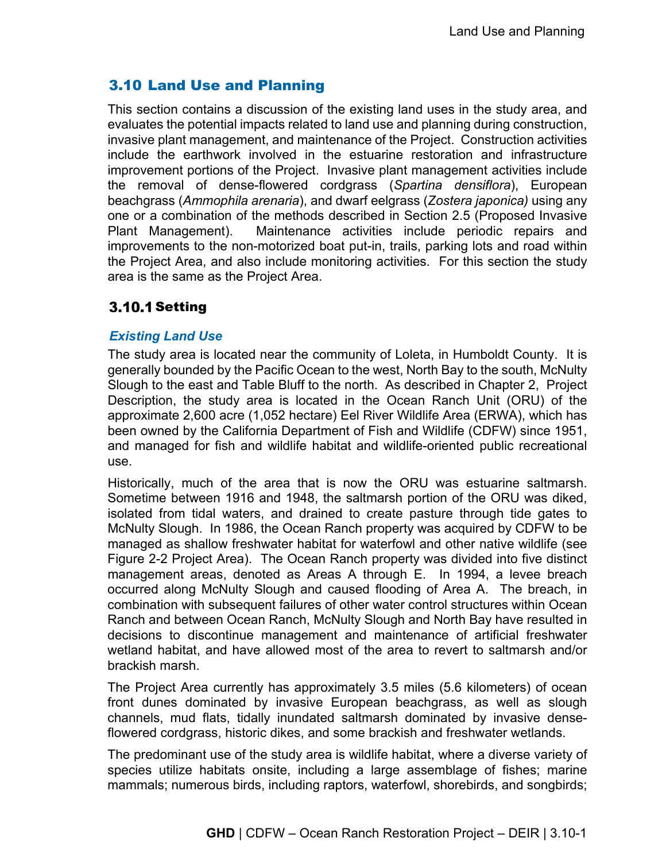# 3.10 Land Use and Planning

This section contains a discussion of the existing land uses in the study area, and evaluates the potential impacts related to land use and planning during construction, invasive plant management, and maintenance of the Project. Construction activities include the earthwork involved in the estuarine restoration and infrastructure improvement portions of the Project. Invasive plant management activities include the removal of dense-flowered cordgrass (*Spartina densiflora*), European beachgrass (*Ammophila arenaria*), and dwarf eelgrass (*Zostera japonica)* using any one or a combination of the methods described in Section 2.5 (Proposed Invasive Plant Management). Maintenance activities include periodic repairs and improvements to the non-motorized boat put-in, trails, parking lots and road within the Project Area, and also include monitoring activities. For this section the study area is the same as the Project Area.

## **3.10.1 Setting**

## *Existing Land Use*

The study area is located near the community of Loleta, in Humboldt County. It is generally bounded by the Pacific Ocean to the west, North Bay to the south, McNulty Slough to the east and Table Bluff to the north. As described in Chapter 2, Project Description, the study area is located in the Ocean Ranch Unit (ORU) of the approximate 2,600 acre (1,052 hectare) Eel River Wildlife Area (ERWA), which has been owned by the California Department of Fish and Wildlife (CDFW) since 1951, and managed for fish and wildlife habitat and wildlife-oriented public recreational use.

Historically, much of the area that is now the ORU was estuarine saltmarsh. Sometime between 1916 and 1948, the saltmarsh portion of the ORU was diked, isolated from tidal waters, and drained to create pasture through tide gates to McNulty Slough. In 1986, the Ocean Ranch property was acquired by CDFW to be managed as shallow freshwater habitat for waterfowl and other native wildlife (see Figure 2-2 Project Area). The Ocean Ranch property was divided into five distinct management areas, denoted as Areas A through E. In 1994, a levee breach occurred along McNulty Slough and caused flooding of Area A. The breach, in combination with subsequent failures of other water control structures within Ocean Ranch and between Ocean Ranch, McNulty Slough and North Bay have resulted in decisions to discontinue management and maintenance of artificial freshwater wetland habitat, and have allowed most of the area to revert to saltmarsh and/or brackish marsh.

The Project Area currently has approximately 3.5 miles (5.6 kilometers) of ocean front dunes dominated by invasive European beachgrass, as well as slough channels, mud flats, tidally inundated saltmarsh dominated by invasive denseflowered cordgrass, historic dikes, and some brackish and freshwater wetlands.

The predominant use of the study area is wildlife habitat, where a diverse variety of species utilize habitats onsite, including a large assemblage of fishes; marine mammals; numerous birds, including raptors, waterfowl, shorebirds, and songbirds;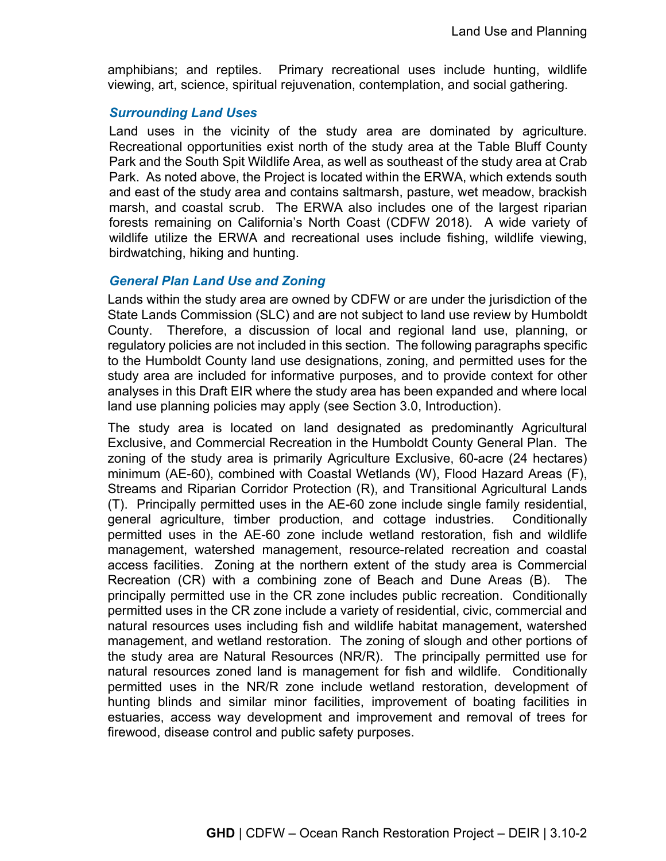amphibians; and reptiles. Primary recreational uses include hunting, wildlife viewing, art, science, spiritual rejuvenation, contemplation, and social gathering.

#### *Surrounding Land Uses*

Land uses in the vicinity of the study area are dominated by agriculture. Recreational opportunities exist north of the study area at the Table Bluff County Park and the South Spit Wildlife Area, as well as southeast of the study area at Crab Park. As noted above, the Project is located within the ERWA, which extends south and east of the study area and contains saltmarsh, pasture, wet meadow, brackish marsh, and coastal scrub. The ERWA also includes one of the largest riparian forests remaining on California's North Coast (CDFW 2018). A wide variety of wildlife utilize the ERWA and recreational uses include fishing, wildlife viewing, birdwatching, hiking and hunting.

### *General Plan Land Use and Zoning*

Lands within the study area are owned by CDFW or are under the jurisdiction of the State Lands Commission (SLC) and are not subject to land use review by Humboldt County. Therefore, a discussion of local and regional land use, planning, or regulatory policies are not included in this section. The following paragraphs specific to the Humboldt County land use designations, zoning, and permitted uses for the study area are included for informative purposes, and to provide context for other analyses in this Draft EIR where the study area has been expanded and where local land use planning policies may apply (see Section 3.0, Introduction).

The study area is located on land designated as predominantly Agricultural Exclusive, and Commercial Recreation in the Humboldt County General Plan. The zoning of the study area is primarily Agriculture Exclusive, 60-acre (24 hectares) minimum (AE-60), combined with Coastal Wetlands (W), Flood Hazard Areas (F), Streams and Riparian Corridor Protection (R), and Transitional Agricultural Lands (T). Principally permitted uses in the AE-60 zone include single family residential, general agriculture, timber production, and cottage industries. Conditionally permitted uses in the AE-60 zone include wetland restoration, fish and wildlife management, watershed management, resource-related recreation and coastal access facilities. Zoning at the northern extent of the study area is Commercial Recreation (CR) with a combining zone of Beach and Dune Areas (B). The principally permitted use in the CR zone includes public recreation. Conditionally permitted uses in the CR zone include a variety of residential, civic, commercial and natural resources uses including fish and wildlife habitat management, watershed management, and wetland restoration. The zoning of slough and other portions of the study area are Natural Resources (NR/R). The principally permitted use for natural resources zoned land is management for fish and wildlife. Conditionally permitted uses in the NR/R zone include wetland restoration, development of hunting blinds and similar minor facilities, improvement of boating facilities in estuaries, access way development and improvement and removal of trees for firewood, disease control and public safety purposes.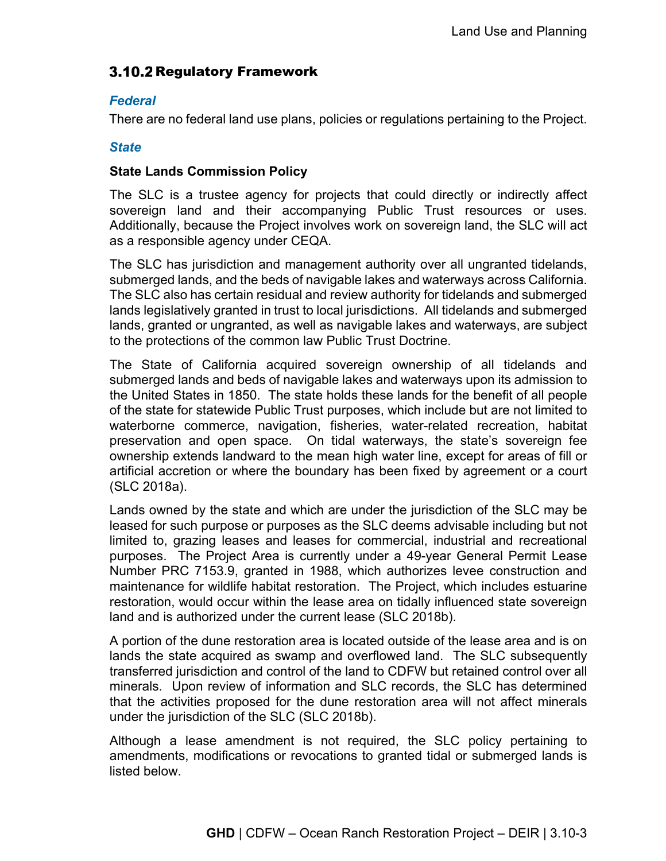# 3.10.2 Regulatory Framework

### *Federal*

There are no federal land use plans, policies or regulations pertaining to the Project.

#### *State*

#### **State Lands Commission Policy**

The SLC is a trustee agency for projects that could directly or indirectly affect sovereign land and their accompanying Public Trust resources or uses. Additionally, because the Project involves work on sovereign land, the SLC will act as a responsible agency under CEQA.

The SLC has jurisdiction and management authority over all ungranted tidelands, submerged lands, and the beds of navigable lakes and waterways across California. The SLC also has certain residual and review authority for tidelands and submerged lands legislatively granted in trust to local jurisdictions. All tidelands and submerged lands, granted or ungranted, as well as navigable lakes and waterways, are subject to the protections of the common law Public Trust Doctrine.

The State of California acquired sovereign ownership of all tidelands and submerged lands and beds of navigable lakes and waterways upon its admission to the United States in 1850. The state holds these lands for the benefit of all people of the state for statewide Public Trust purposes, which include but are not limited to waterborne commerce, navigation, fisheries, water-related recreation, habitat preservation and open space. On tidal waterways, the state's sovereign fee ownership extends landward to the mean high water line, except for areas of fill or artificial accretion or where the boundary has been fixed by agreement or a court (SLC 2018a).

Lands owned by the state and which are under the jurisdiction of the SLC may be leased for such purpose or purposes as the SLC deems advisable including but not limited to, grazing leases and leases for commercial, industrial and recreational purposes. The Project Area is currently under a 49-year General Permit Lease Number PRC 7153.9, granted in 1988, which authorizes levee construction and maintenance for wildlife habitat restoration. The Project, which includes estuarine restoration, would occur within the lease area on tidally influenced state sovereign land and is authorized under the current lease (SLC 2018b).

A portion of the dune restoration area is located outside of the lease area and is on lands the state acquired as swamp and overflowed land. The SLC subsequently transferred jurisdiction and control of the land to CDFW but retained control over all minerals. Upon review of information and SLC records, the SLC has determined that the activities proposed for the dune restoration area will not affect minerals under the jurisdiction of the SLC (SLC 2018b).

Although a lease amendment is not required, the SLC policy pertaining to amendments, modifications or revocations to granted tidal or submerged lands is listed below.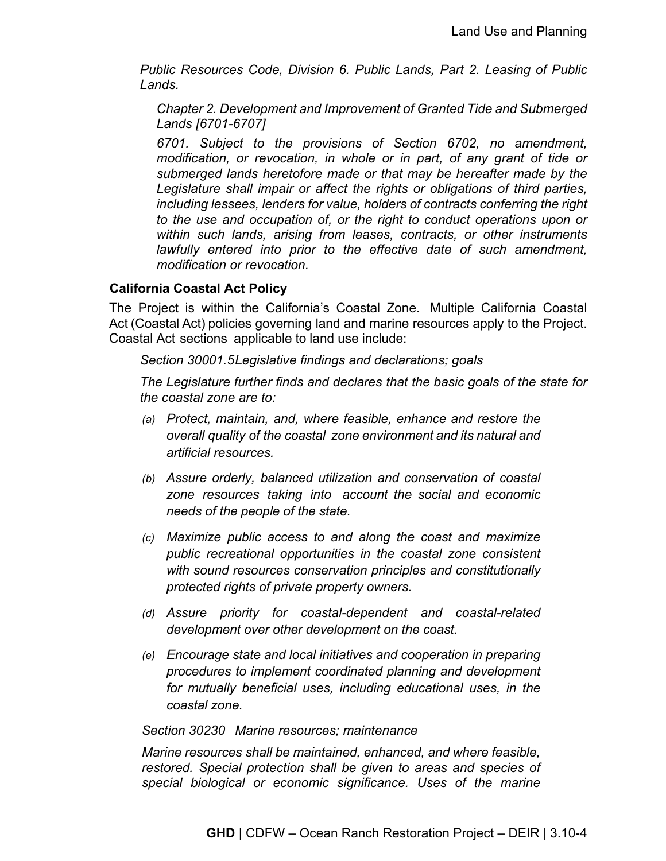*Public Resources Code, Division 6. Public Lands, Part 2. Leasing of Public Lands.*

*Chapter 2. Development and Improvement of Granted Tide and Submerged Lands [6701-6707]*

*6701. Subject to the provisions of Section 6702, no amendment, modification, or revocation, in whole or in part, of any grant of tide or submerged lands heretofore made or that may be hereafter made by the Legislature shall impair or affect the rights or obligations of third parties, including lessees, lenders for value, holders of contracts conferring the right to the use and occupation of, or the right to conduct operations upon or within such lands, arising from leases, contracts, or other instruments lawfully entered into prior to the effective date of such amendment, modification or revocation.* 

## **California Coastal Act Policy**

The Project is within the California's Coastal Zone. Multiple California Coastal Act (Coastal Act) policies governing land and marine resources apply to the Project. Coastal Act sections applicable to land use include:

*Section 30001.5Legislative findings and declarations; goals*

*The Legislature further finds and declares that the basic goals of the state for the coastal zone are to:*

- *(a) Protect, maintain, and, where feasible, enhance and restore the overall quality of the coastal zone environment and its natural and artificial resources.*
- *(b) Assure orderly, balanced utilization and conservation of coastal zone resources taking into account the social and economic needs of the people of the state.*
- *(c) Maximize public access to and along the coast and maximize public recreational opportunities in the coastal zone consistent with sound resources conservation principles and constitutionally protected rights of private property owners.*
- *(d) Assure priority for coastal-dependent and coastal-related development over other development on the coast.*
- *(e) Encourage state and local initiatives and cooperation in preparing procedures to implement coordinated planning and development for mutually beneficial uses, including educational uses, in the coastal zone.*

### *Section 30230 Marine resources; maintenance*

*Marine resources shall be maintained, enhanced, and where feasible, restored. Special protection shall be given to areas and species of special biological or economic significance. Uses of the marine*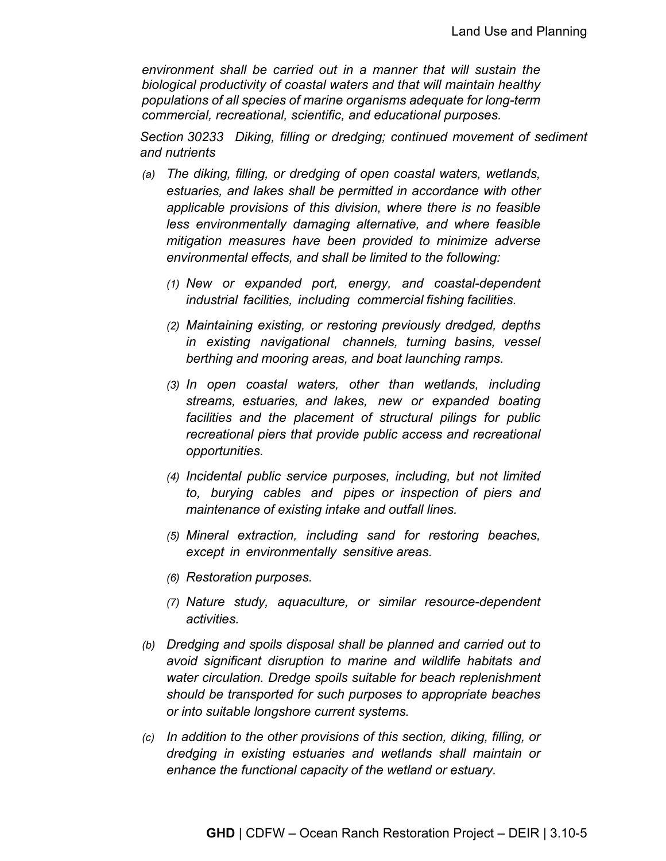*environment shall be carried out in a manner that will sustain the biological productivity of coastal waters and that will maintain healthy populations of all species of marine organisms adequate for long-term commercial, recreational, scientific, and educational purposes.*

*Section 30233 Diking, filling or dredging; continued movement of sediment and nutrients*

- *(a) The diking, filling, or dredging of open coastal waters, wetlands, estuaries, and lakes shall be permitted in accordance with other applicable provisions of this division, where there is no feasible less environmentally damaging alternative, and where feasible mitigation measures have been provided to minimize adverse environmental effects, and shall be limited to the following:*
	- *(1) New or expanded port, energy, and coastal-dependent industrial facilities, including commercial fishing facilities.*
	- *(2) Maintaining existing, or restoring previously dredged, depths in existing navigational channels, turning basins, vessel berthing and mooring areas, and boat launching ramps.*
	- *(3) In open coastal waters, other than wetlands, including streams, estuaries, and lakes, new or expanded boating facilities and the placement of structural pilings for public recreational piers that provide public access and recreational opportunities.*
	- *(4) Incidental public service purposes, including, but not limited to, burying cables and pipes or inspection of piers and maintenance of existing intake and outfall lines.*
	- *(5) Mineral extraction, including sand for restoring beaches, except in environmentally sensitive areas.*
	- *(6) Restoration purposes.*
	- *(7) Nature study, aquaculture, or similar resource-dependent activities.*
- *(b) Dredging and spoils disposal shall be planned and carried out to avoid significant disruption to marine and wildlife habitats and water circulation. Dredge spoils suitable for beach replenishment should be transported for such purposes to appropriate beaches or into suitable longshore current systems.*
- *(c) In addition to the other provisions of this section, diking, filling, or dredging in existing estuaries and wetlands shall maintain or enhance the functional capacity of the wetland or estuary.*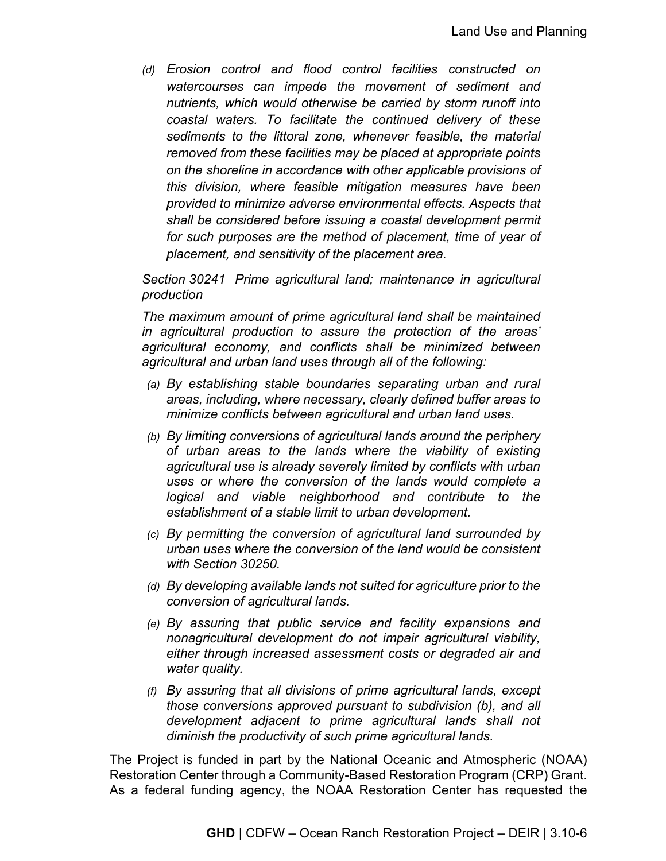*(d) Erosion control and flood control facilities constructed on watercourses can impede the movement of sediment and nutrients, which would otherwise be carried by storm runoff into coastal waters. To facilitate the continued delivery of these sediments to the littoral zone, whenever feasible, the material removed from these facilities may be placed at appropriate points on the shoreline in accordance with other applicable provisions of this division, where feasible mitigation measures have been provided to minimize adverse environmental effects. Aspects that shall be considered before issuing a coastal development permit*  for such purposes are the method of placement, time of year of *placement, and sensitivity of the placement area.*

*Section 30241 Prime agricultural land; maintenance in agricultural production* 

*The maximum amount of prime agricultural land shall be maintained in agricultural production to assure the protection of the areas' agricultural economy, and conflicts shall be minimized between agricultural and urban land uses through all of the following:*

- *(a) By establishing stable boundaries separating urban and rural areas, including, where necessary, clearly defined buffer areas to minimize conflicts between agricultural and urban land uses.*
- *(b) By limiting conversions of agricultural lands around the periphery of urban areas to the lands where the viability of existing agricultural use is already severely limited by conflicts with urban uses or where the conversion of the lands would complete a logical and viable neighborhood and contribute to the establishment of a stable limit to urban development.*
- *(c) By permitting the conversion of agricultural land surrounded by urban uses where the conversion of the land would be consistent with Section 30250.*
- *(d) By developing available lands not suited for agriculture prior to the conversion of agricultural lands.*
- *(e) By assuring that public service and facility expansions and nonagricultural development do not impair agricultural viability, either through increased assessment costs or degraded air and water quality.*
- *(f) By assuring that all divisions of prime agricultural lands, except those conversions approved pursuant to subdivision (b), and all development adjacent to prime agricultural lands shall not diminish the productivity of such prime agricultural lands.*

The Project is funded in part by the National Oceanic and Atmospheric (NOAA) Restoration Center through a Community-Based Restoration Program (CRP) Grant. As a federal funding agency, the NOAA Restoration Center has requested the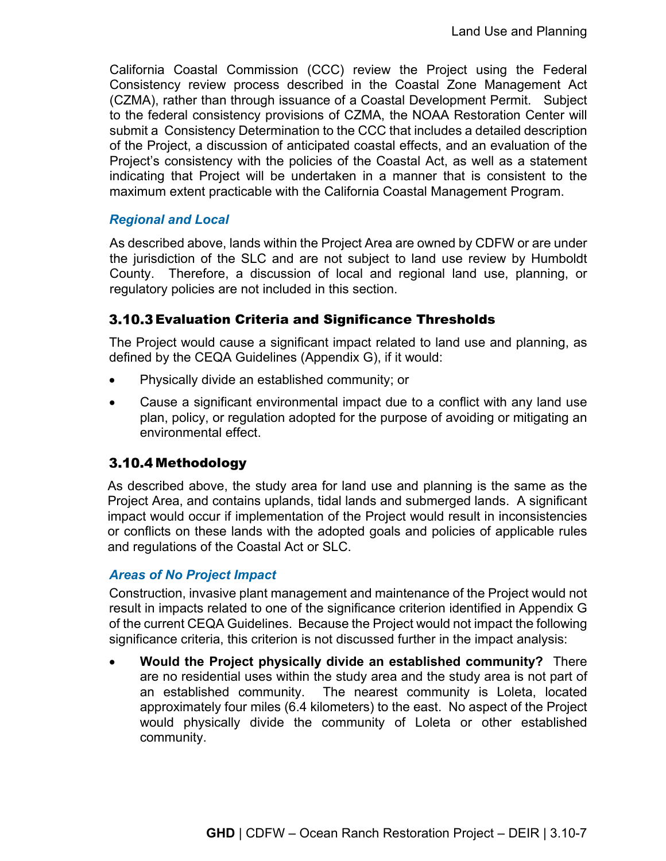California Coastal Commission (CCC) review the Project using the Federal Consistency review process described in the Coastal Zone Management Act (CZMA), rather than through issuance of a Coastal Development Permit. Subject to the federal consistency provisions of CZMA, the NOAA Restoration Center will submit a Consistency Determination to the CCC that includes a detailed description of the Project, a discussion of anticipated coastal effects, and an evaluation of the Project's consistency with the policies of the Coastal Act, as well as a statement indicating that Project will be undertaken in a manner that is consistent to the maximum extent practicable with the California Coastal Management Program.

## *Regional and Local*

As described above, lands within the Project Area are owned by CDFW or are under the jurisdiction of the SLC and are not subject to land use review by Humboldt County. Therefore, a discussion of local and regional land use, planning, or regulatory policies are not included in this section.

## 3.10.3 Evaluation Criteria and Significance Thresholds

The Project would cause a significant impact related to land use and planning, as defined by the CEQA Guidelines (Appendix G), if it would:

- Physically divide an established community; or
- Cause a significant environmental impact due to a conflict with any land use plan, policy, or regulation adopted for the purpose of avoiding or mitigating an environmental effect.

## 3.10.4 Methodology

As described above, the study area for land use and planning is the same as the Project Area, and contains uplands, tidal lands and submerged lands. A significant impact would occur if implementation of the Project would result in inconsistencies or conflicts on these lands with the adopted goals and policies of applicable rules and regulations of the Coastal Act or SLC.

### *Areas of No Project Impact*

Construction, invasive plant management and maintenance of the Project would not result in impacts related to one of the significance criterion identified in Appendix G of the current CEQA Guidelines. Because the Project would not impact the following significance criteria, this criterion is not discussed further in the impact analysis:

• **Would the Project physically divide an established community?** There are no residential uses within the study area and the study area is not part of an established community. The nearest community is Loleta, located approximately four miles (6.4 kilometers) to the east. No aspect of the Project would physically divide the community of Loleta or other established community.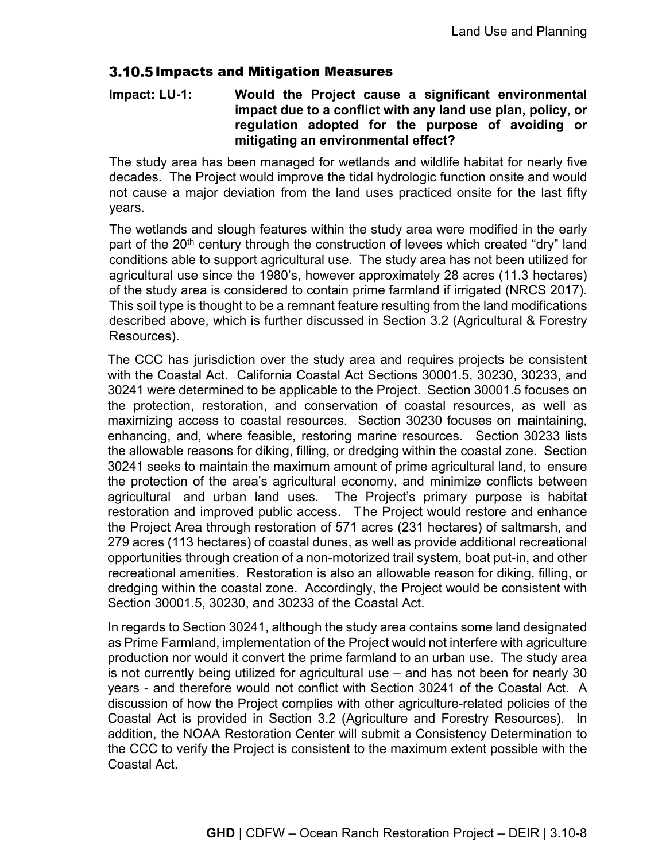## 3.10.5 Impacts and Mitigation Measures

### **Impact: LU-1: Would the Project cause a significant environmental impact due to a conflict with any land use plan, policy, or regulation adopted for the purpose of avoiding or mitigating an environmental effect?**

The study area has been managed for wetlands and wildlife habitat for nearly five decades. The Project would improve the tidal hydrologic function onsite and would not cause a major deviation from the land uses practiced onsite for the last fifty years.

The wetlands and slough features within the study area were modified in the early part of the 20<sup>th</sup> century through the construction of levees which created "dry" land conditions able to support agricultural use. The study area has not been utilized for agricultural use since the 1980's, however approximately 28 acres (11.3 hectares) of the study area is considered to contain prime farmland if irrigated (NRCS 2017). This soil type is thought to be a remnant feature resulting from the land modifications described above, which is further discussed in Section 3.2 (Agricultural & Forestry Resources).

The CCC has jurisdiction over the study area and requires projects be consistent with the Coastal Act. California Coastal Act Sections 30001.5, 30230, 30233, and 30241 were determined to be applicable to the Project. Section 30001.5 focuses on the protection, restoration, and conservation of coastal resources, as well as maximizing access to coastal resources. Section 30230 focuses on maintaining, enhancing, and, where feasible, restoring marine resources. Section 30233 lists the allowable reasons for diking, filling, or dredging within the coastal zone. Section 30241 seeks to maintain the maximum amount of prime agricultural land, to ensure the protection of the area's agricultural economy, and minimize conflicts between agricultural and urban land uses. The Project's primary purpose is habitat restoration and improved public access. The Project would restore and enhance the Project Area through restoration of 571 acres (231 hectares) of saltmarsh, and 279 acres (113 hectares) of coastal dunes, as well as provide additional recreational opportunities through creation of a non-motorized trail system, boat put-in, and other recreational amenities. Restoration is also an allowable reason for diking, filling, or dredging within the coastal zone. Accordingly, the Project would be consistent with Section 30001.5, 30230, and 30233 of the Coastal Act.

In regards to Section 30241, although the study area contains some land designated as Prime Farmland, implementation of the Project would not interfere with agriculture production nor would it convert the prime farmland to an urban use. The study area is not currently being utilized for agricultural use – and has not been for nearly 30 years - and therefore would not conflict with Section 30241 of the Coastal Act. A discussion of how the Project complies with other agriculture-related policies of the Coastal Act is provided in Section 3.2 (Agriculture and Forestry Resources). In addition, the NOAA Restoration Center will submit a Consistency Determination to the CCC to verify the Project is consistent to the maximum extent possible with the Coastal Act.